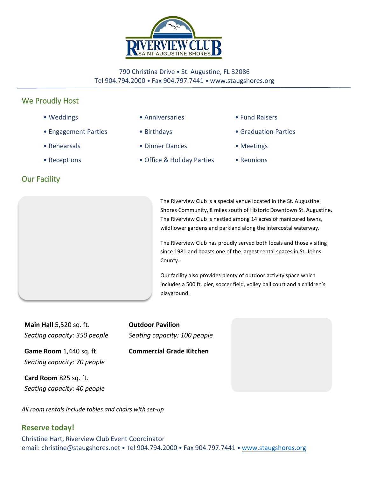

#### 790 Christina Drive • St. Augustine, FL 32086 Tel 904.794.2000 • Fax 904.797.7441 • www.staugshores.org

# We Proudly Host

- Weddings
- Engagement Parties
- Rehearsals
- Receptions

## Our Facility



- Birthdays
- Dinner Dances
- Office & Holiday Parties
- Fund Raisers
- Graduation Parties
- Meetings
- Reunions

The Riverview Club is a special venue located in the St. Augustine Shores Community, 8 miles south of Historic Downtown St. Augustine. The Riverview Club is nestled among 14 acres of manicured lawns, wildflower gardens and parkland along the intercostal waterway.

The Riverview Club has proudly served both locals and those visiting since 1981 and boasts one of the largest rental spaces in St. Johns County.

Our facility also provides plenty of outdoor activity space which includes a 500 ft. pier, soccer field, volley ball court and a children's playground.

**Main Hall** 5,520 sq. ft. *Seating capacity: 350 people*

**Game Room** 1,440 sq. ft. *Seating capacity: 70 people*

**Card Room** 825 sq. ft. *Seating capacity: 40 people* **Outdoor Pavilion**  *Seating capacity: 100 people* 

**Commercial Grade Kitchen** 

*All room rentals include tables and chairs with set-up*

### **Reserve today!**

Christine Hart, Riverview Club Event Coordinator email: christine@staugshores.net • Tel 904.794.2000 • Fax 904.797.7441 • [www.staugshore](http://www.staugshores-hoa.org/)s.org